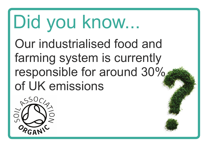#### Did you know... Our industrialised food and farming system is currently responsible for around 30% of UK emissions

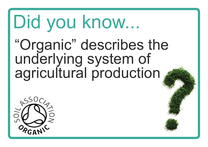#### Did you know... "Organic" describes the underlying system of agricultural production

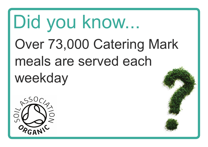### Did you know... Over 73,000 Catering Mark meals are served each weekday

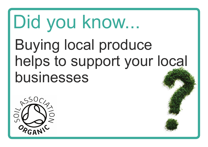### Did you know... Buying local produce helps to support your local businesses

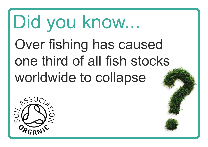### Did you know... Over fishing has caused one third of all fish stocks worldwide to collapse

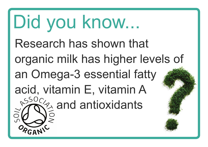Did you know... Research has shown that organic milk has higher levels of an Omega-3 essential fatty acid, vitamin E, vitamin A  $\frac{1550}{100}$  and antioxidants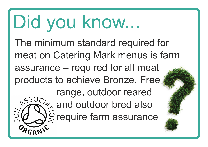Did you know... The minimum standard required for meat on Catering Mark menus is farm assurance – required for all meat products to achieve Bronze. Free range, outdoor reared  $350<sub>C</sub>$  and outdoor bred also **NO** S require farm assurance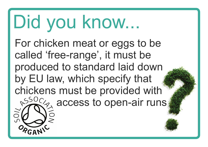#### Did you know... For chicken meat or eggs to be called 'free-range', it must be produced to standard laid down by EU law, which specify that

chickens must be provided with  $\frac{1550}{100}$  access to open-air runs

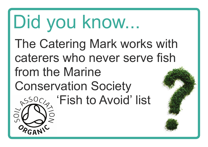Did you know... The Catering Mark works with caterers who never serve fish from the Marine Conservation Society **SSOCA** 'Fish to Avoid' list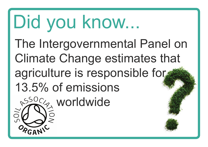Did you know... The Intergovernmental Panel on Climate Change estimates that agriculture is responsible for 13.5% of emissions **SSOC<sub>2</sub>** worldwide

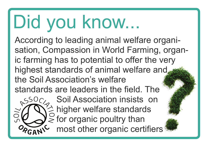## Did you know...

 $850C/2$ 

7OS

According to leading animal welfare organisation, Compassion in World Farming, organic farming has to potential to offer the very highest standards of animal welfare and. the Soil Association's welfare standards are leaders in the field. The

> Soil Association insists on  $\frac{3}{2}$  higher welfare standards  $\mathcal{G}$  for organic poultry than most other organic certifiers<sup>1</sup>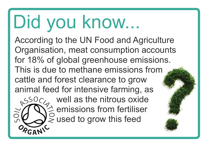## Did you know...

70V

According to the UN Food and Agriculture Organisation, meat consumption accounts for 18% of global greenhouse emissions. This is due to methane emissions from cattle and forest clearance to grow animal feed for intensive farming, as<br>  $\frac{550}{ }$ % well as the nitrous oxide

well as the nitrous oxide  $\frac{z}{z}$  emissions from fertiliser  $\leq$  used to grow this feed